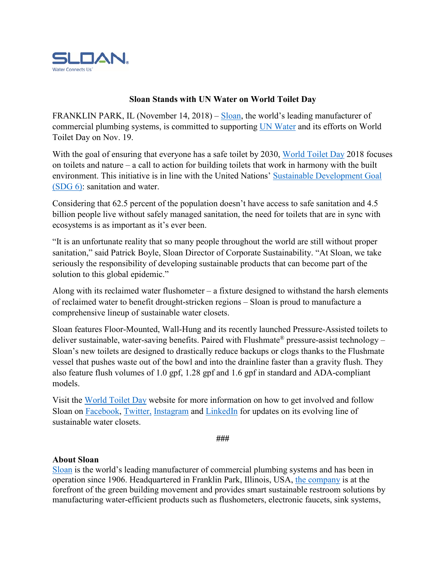

## **Sloan Stands with UN Water on World Toilet Day**

FRANKLIN PARK, IL (November 14, 2018) – [Sloan,](https://www.sloan.com/) the world's leading manufacturer of commercial plumbing systems, is committed to supporting [UN Water](http://www.unwater.org/) and its efforts on World Toilet Day on Nov. 19.

With the goal of ensuring that everyone has a safe toilet by 2030, [World Toilet Day](http://www.worldtoiletday.info/wtd2018/) 2018 focuses on toilets and nature – a call to action for building toilets that work in harmony with the built environment. This initiative is in line with the United Nations' [Sustainable Development Goal](https://sustainabledevelopment.un.org/sdg6)  [\(SDG 6\):](https://sustainabledevelopment.un.org/sdg6) sanitation and water.

Considering that 62.5 percent of the population doesn't have access to safe sanitation and 4.5 billion people live without safely managed sanitation, the need for toilets that are in sync with ecosystems is as important as it's ever been.

"It is an unfortunate reality that so many people throughout the world are still without proper sanitation," said Patrick Boyle, Sloan Director of Corporate Sustainability. "At Sloan, we take seriously the responsibility of developing sustainable products that can become part of the solution to this global epidemic."

Along with its reclaimed water flushometer – a fixture designed to withstand the harsh elements of reclaimed water to benefit drought-stricken regions – Sloan is proud to manufacture a comprehensive lineup of sustainable water closets.

Sloan features Floor-Mounted, Wall-Hung and its recently launched Pressure-Assisted toilets to deliver sustainable, water-saving benefits. Paired with Flushmate<sup>®</sup> pressure-assist technology – Sloan's new toilets are designed to drastically reduce backups or clogs thanks to the Flushmate vessel that pushes waste out of the bowl and into the drainline faster than a gravity flush. They also feature flush volumes of 1.0 gpf, 1.28 gpf and 1.6 gpf in standard and ADA-compliant models.

Visit the [World Toilet Day](http://www.worldtoiletday.info/wtd2018/) website for more information on how to get involved and follow Sloan on [Facebook,](https://www.facebook.com/SloanValveCompany/) [Twitter,](https://twitter.com/Sloan_Valve?ref_src=twsrc%5Egoogle%7Ctwcamp%5Eserp%7Ctwgr%5Eauthor) [Instagram](https://www.instagram.com/sloan_valve/) and [LinkedIn](https://www.linkedin.com/company/sloan-valve-company) for updates on its evolving line of sustainable water closets.

**###**

## **About Sloan**

[Sloan](https://www.sloan.com/) is the world's leading manufacturer of commercial plumbing systems and has been in operation since 1906. Headquartered in Franklin Park, Illinois, USA, [the company](https://www.sloan.com/company/about-us/history) is at the forefront of the green building movement and provides smart sustainable restroom solutions by manufacturing water-efficient products such as flushometers, electronic faucets, sink systems,